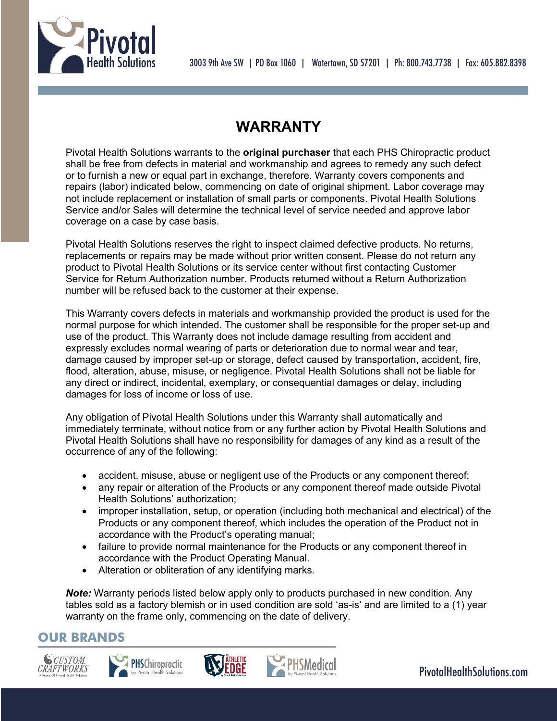



# **WARRANTY**

Pivotal Health Solutions warrants to the **original purchaser** that each PHS Chiropractic product shall be free from defects in material and workmanship and agrees to remedy any such defect or to furnish a new or equal part in exchange, therefore. Warranty covers components and repairs (labor) indicated below, commencing on date of original shipment. Labor coverage may not include replacement or installation of small parts or components. Pivotal Health Solutions Service and/or Sales will determine the technical level of service needed and approve labor coverage on a case by case basis.

Pivotal Health Solutions reserves the right to inspect claimed defective products. No returns, replacements or repairs may be made without prior written consent. Please do not return any product to Pivotal Health Solutions or its service center without first contacting Customer Service for Return Authorization number. Products returned without a Return Authorization number will be refused back to the customer at their expense.

This Warranty covers defects in materials and workmanship provided the product is used for the normal purpose for which intended. The customer shall be responsible for the proper set-up and use of the product. This Warranty does not include damage resulting from accident and expressly excludes normal wearing of parts or deterioration due to normal wear and tear, damage caused by improper set-up or storage, defect caused by transportation, accident, fire, flood, alteration, abuse, misuse, or negligence. Pivotal Health Solutions shall not be liable for any direct or indirect, incidental, exemplary, or consequential damages or delay, including damages for loss of income or loss of use.

Any obligation of Pivotal Health Solutions under this Warranty shall automatically and immediately terminate, without notice from or any further action by Pivotal Health Solutions and Pivotal Health Solutions shall have no responsibility for damages of any kind as a result of the occurrence of any of the following:

- accident, misuse, abuse or negligent use of the Products or any component thereof;
- any repair or alteration of the Products or any component thereof made outside Pivotal Health Solutions' authorization;
- improper installation, setup, or operation (including both mechanical and electrical) of the Products or any component thereof, which includes the operation of the Product not in accordance with the Product's operating manual;
- failure to provide normal maintenance for the Products or any component thereof in accordance with the Product Operating Manual.
- Alteration or obliteration of any identifying marks.

**Note:** Warranty periods listed below apply only to products purchased in new condition. Any tables sold as a factory blemish or in used condition are sold 'as-is' and are limited to a (1) year warranty on the frame only, commencing on the date of delivery.

## **OUR BRANDS**







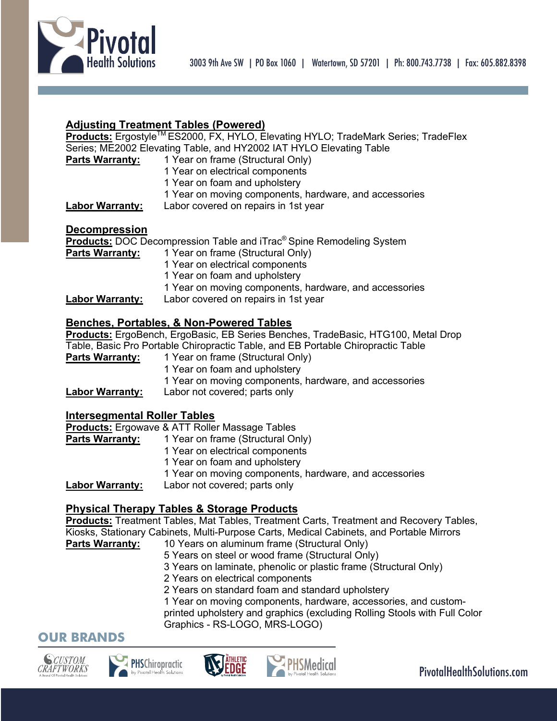

### **Adjusting Treatment Tables (Powered)**

**Products:** Ergostyle<sup>™</sup> ES2000, FX, HYLO, Elevating HYLO; TradeMark Series; TradeFlex Series; ME2002 Elevating Table, and HY2002 IAT HYLO Elevating Table

- **Parts Warranty:** 1 Year on frame (Structural Only)
	- 1 Year on electrical components
	- 1 Year on foam and upholstery
	- 1 Year on moving components, hardware, and accessories

**Labor Warranty:** Labor covered on repairs in 1st year

### **Decompression**

**Products:** DOC Decompression Table and iTrac® Spine Remodeling System

- **Parts Warranty:** 1 Year on frame (Structural Only)
	- 1 Year on electrical components
	- 1 Year on foam and upholstery
	- 1 Year on moving components, hardware, and accessories

**Labor Warranty:** Labor covered on repairs in 1st year

### **Benches, Portables, & Non-Powered Tables**

**Products:** ErgoBench, ErgoBasic, EB Series Benches, TradeBasic, HTG100, Metal Drop Table, Basic Pro Portable Chiropractic Table, and EB Portable Chiropractic Table

**Parts Warranty:** 1 Year on frame (Structural Only) 1 Year on foam and upholstery 1 Year on moving components, hardware, and accessories **Labor Warranty:** Labor not covered; parts only

### **Intersegmental Roller Tables**

**Products:** Ergowave & ATT Roller Massage Tables

**Parts Warranty:** 1 Year on frame (Structural Only) 1 Year on electrical components 1 Year on foam and upholstery 1 Year on moving components, hardware, and accessories

**Labor Warranty:** Labor not covered; parts only

### **Physical Therapy Tables & Storage Products**

**Products:** Treatment Tables, Mat Tables, Treatment Carts, Treatment and Recovery Tables, Kiosks, Stationary Cabinets, Multi-Purpose Carts, Medical Cabinets, and Portable Mirrors Parts Warranty: 10 Years on aluminum frame (Structural Only)

- 5 Years on steel or wood frame (Structural Only)
- 3 Years on laminate, phenolic or plastic frame (Structural Only)
- 2 Years on electrical components
- 2 Years on standard foam and standard upholstery
- 1 Year on moving components, hardware, accessories, and custom-

printed upholstery and graphics (excluding Rolling Stools with Full Color Graphics - RS-LOGO, MRS-LOGO)

## **OUR BRANDS**







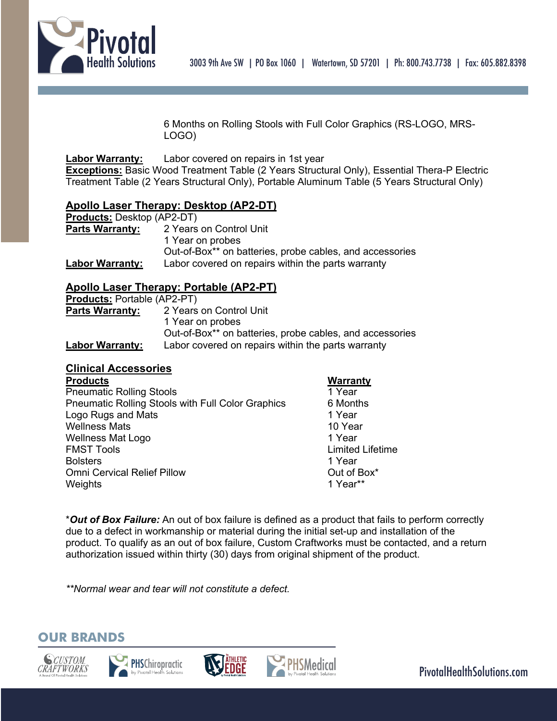

6 Months on Rolling Stools with Full Color Graphics (RS-LOGO, MRS-LOGO)

### **Labor Warranty:** Labor covered on repairs in 1st year

**Exceptions:** Basic Wood Treatment Table (2 Years Structural Only), Essential Thera-P Electric Treatment Table (2 Years Structural Only), Portable Aluminum Table (5 Years Structural Only)

### **Apollo Laser Therapy: Desktop (AP2-DT)**

| <b>Products: Desktop (AP2-DT)</b> |                                                          |
|-----------------------------------|----------------------------------------------------------|
| <b>Parts Warranty:</b>            | 2 Years on Control Unit                                  |
|                                   | 1 Year on probes                                         |
|                                   | Out-of-Box** on batteries, probe cables, and accessories |
| <b>Labor Warranty:</b>            | Labor covered on repairs within the parts warranty       |

#### **Apollo Laser Therapy: Portable (AP2-PT) Products:** Portable (AP2-PT)

| <b>FIGURIS.</b> FUILADIB (AFZ-FII) |                                                          |  |
|------------------------------------|----------------------------------------------------------|--|
| <b>Parts Warranty:</b>             | 2 Years on Control Unit                                  |  |
|                                    | 1 Year on probes                                         |  |
|                                    | Out-of-Box** on batteries, probe cables, and accessories |  |
| <b>Labor Warranty:</b>             | Labor covered on repairs within the parts warranty       |  |

### **Clinical Accessories**

| <b>Products</b>                                   | <b>Warranty</b>         |
|---------------------------------------------------|-------------------------|
| <b>Pneumatic Rolling Stools</b>                   | 1 Year                  |
| Pneumatic Rolling Stools with Full Color Graphics | 6 Months                |
| Logo Rugs and Mats                                | 1 Year                  |
| <b>Wellness Mats</b>                              | 10 Year                 |
| <b>Wellness Mat Logo</b>                          | 1 Year                  |
| <b>FMST Tools</b>                                 | <b>Limited Lifetime</b> |
| <b>Bolsters</b>                                   | 1 Year                  |
| <b>Omni Cervical Relief Pillow</b>                | Out of Box*             |
| Weights                                           | 1 Year**                |

\**Out of Box Failure:* An out of box failure is defined as a product that fails to perform correctly due to a defect in workmanship or material during the initial set-up and installation of the product. To qualify as an out of box failure, Custom Craftworks must be contacted, and a return authorization issued within thirty (30) days from original shipment of the product.

*\*\*Normal wear and tear will not constitute a defect.*